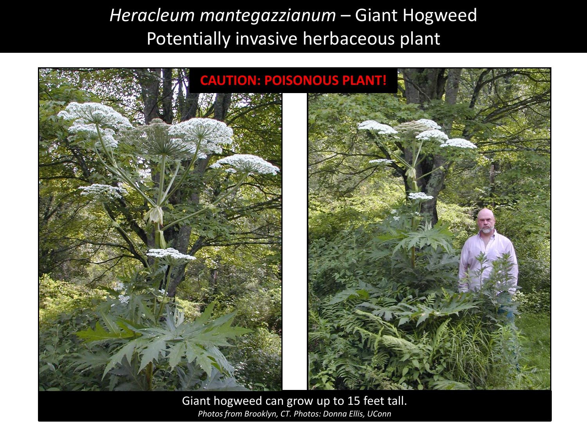*Heracleum mantegazzianum* – Giant Hogweed Potentially invasive herbaceous plant



Giant hogweed can grow up to 15 feet tall. *Photos from Brooklyn, CT. Photos: Donna Ellis, UConn*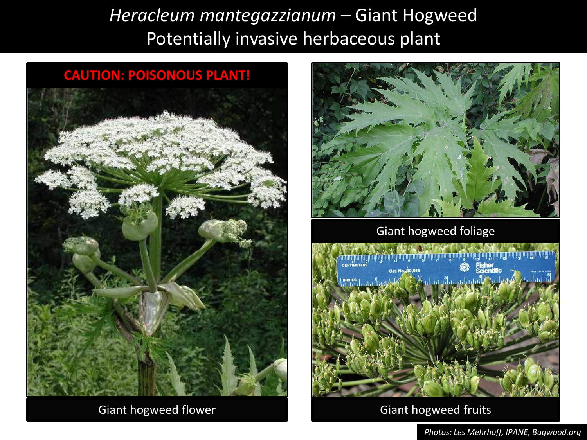*Heracleum mantegazzianum* – Giant Hogweed Potentially invasive herbaceous plant



Giant hogweed flower



#### Giant hogweed foliage



### Giant hogweed fruits

*Photos: Les Mehrhoff, IPANE, Bugwood.org*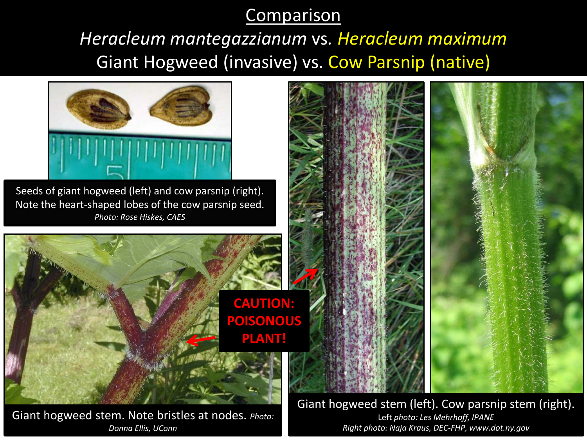## **Comparison**

# *Heracleum mantegazzianum* vs*. Heracleum maximum* Giant Hogweed (invasive) vs. Cow Parsnip (native)



Giant hogweed stem. Note bristles at nodes. *Photo: Donna Ellis, UConn*

Giant hogweed stem (left). Cow parsnip stem (right). Left *photo: Les Mehrhoff, IPANE Right photo: Naja Kraus, DEC-FHP, www.dot.ny.gov*